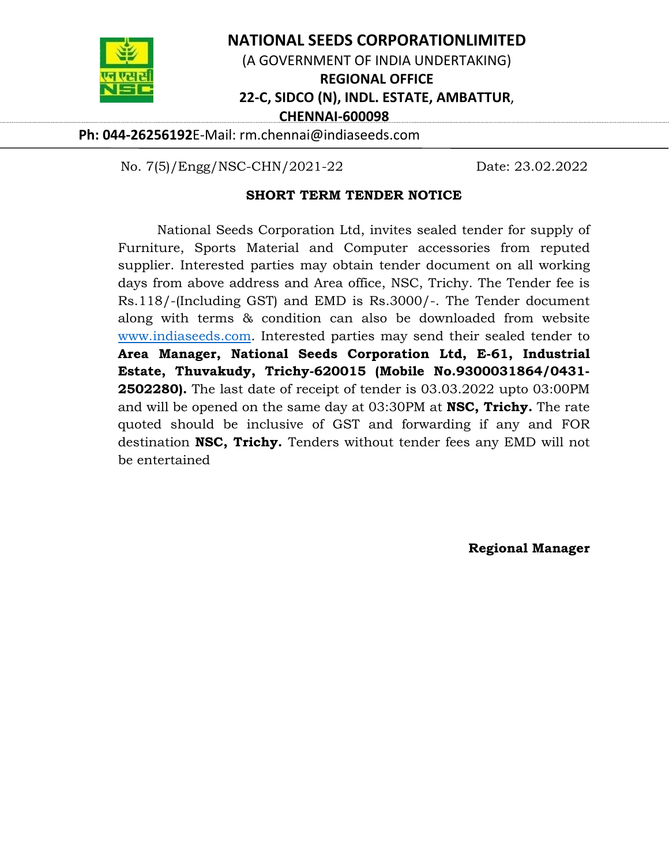

## **NATIONAL SEEDS CORPORATIONLIMITED**

(A GOVERNMENT OF INDIA UNDERTAKING)

**REGIONAL OFFICE** 

## **22‐C, SIDCO (N), INDL. ESTATE, AMBATTUR**,

**CHENNAI‐600098** 

**Ph: 044‐26256192**E‐Mail: rm.chennai@indiaseeds.com

No. 7(5)/Engg/NSC-CHN/2021-22 Date: 23.02.2022

### **SHORT TERM TENDER NOTICE**

National Seeds Corporation Ltd, invites sealed tender for supply of Furniture, Sports Material and Computer accessories from reputed supplier. Interested parties may obtain tender document on all working days from above address and Area office, NSC, Trichy. The Tender fee is Rs.118/-(Including GST) and EMD is Rs.3000/-. The Tender document along with terms & condition can also be downloaded from website www.indiaseeds.com. Interested parties may send their sealed tender to **Area Manager, National Seeds Corporation Ltd, E-61, Industrial Estate, Thuvakudy, Trichy-620015 (Mobile No.9300031864/0431- 2502280).** The last date of receipt of tender is 03.03.2022 upto 03:00PM and will be opened on the same day at 03:30PM at **NSC, Trichy.** The rate quoted should be inclusive of GST and forwarding if any and FOR destination **NSC, Trichy.** Tenders without tender fees any EMD will not be entertained

**Regional Manager**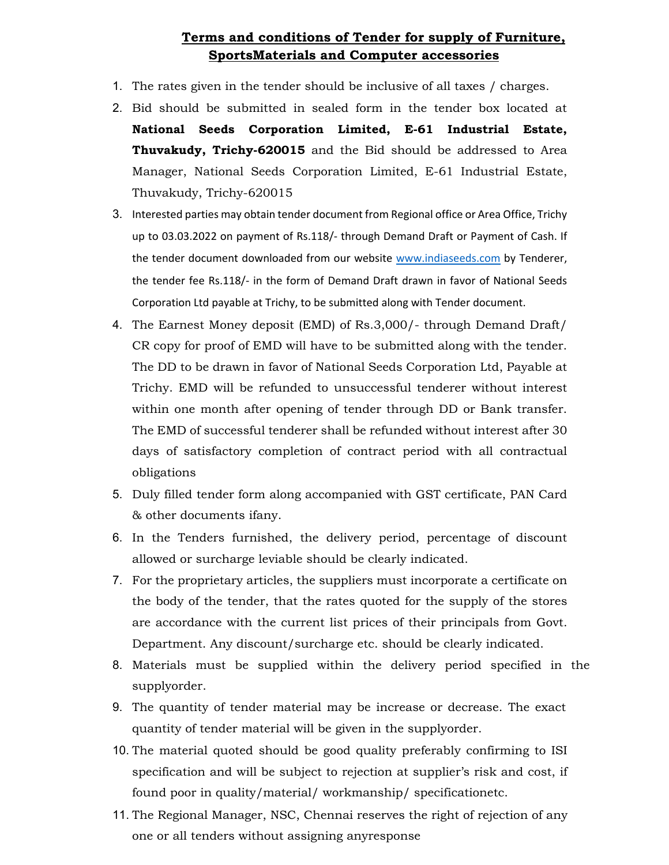## **Terms and conditions of Tender for supply of Furniture, SportsMaterials and Computer accessories**

- 1. The rates given in the tender should be inclusive of all taxes / charges.
- 2. Bid should be submitted in sealed form in the tender box located at **National Seeds Corporation Limited, E-61 Industrial Estate, Thuvakudy, Trichy-620015** and the Bid should be addressed to Area Manager, National Seeds Corporation Limited, E-61 Industrial Estate, Thuvakudy, Trichy-620015
- 3. Interested parties may obtain tender document from Regional office or Area Office, Trichy up to 03.03.2022 on payment of Rs.118/‐ through Demand Draft or Payment of Cash. If the tender document downloaded from our website www.indiaseeds.com by Tenderer, the tender fee Rs.118/- in the form of Demand Draft drawn in favor of National Seeds Corporation Ltd payable at Trichy, to be submitted along with Tender document.
- 4. The Earnest Money deposit (EMD) of Rs.3,000/- through Demand Draft/ CR copy for proof of EMD will have to be submitted along with the tender. The DD to be drawn in favor of National Seeds Corporation Ltd, Payable at Trichy. EMD will be refunded to unsuccessful tenderer without interest within one month after opening of tender through DD or Bank transfer. The EMD of successful tenderer shall be refunded without interest after 30 days of satisfactory completion of contract period with all contractual obligations
- 5. Duly filled tender form along accompanied with GST certificate, PAN Card & other documents ifany.
- 6. In the Tenders furnished, the delivery period, percentage of discount allowed or surcharge leviable should be clearly indicated.
- 7. For the proprietary articles, the suppliers must incorporate a certificate on the body of the tender, that the rates quoted for the supply of the stores are accordance with the current list prices of their principals from Govt. Department. Any discount/surcharge etc. should be clearly indicated.
- 8. Materials must be supplied within the delivery period specified in the supplyorder.
- 9. The quantity of tender material may be increase or decrease. The exact quantity of tender material will be given in the supplyorder.
- 10. The material quoted should be good quality preferably confirming to ISI specification and will be subject to rejection at supplier's risk and cost, if found poor in quality/material/ workmanship/ specificationetc.
- 11. The Regional Manager, NSC, Chennai reserves the right of rejection of any one or all tenders without assigning anyresponse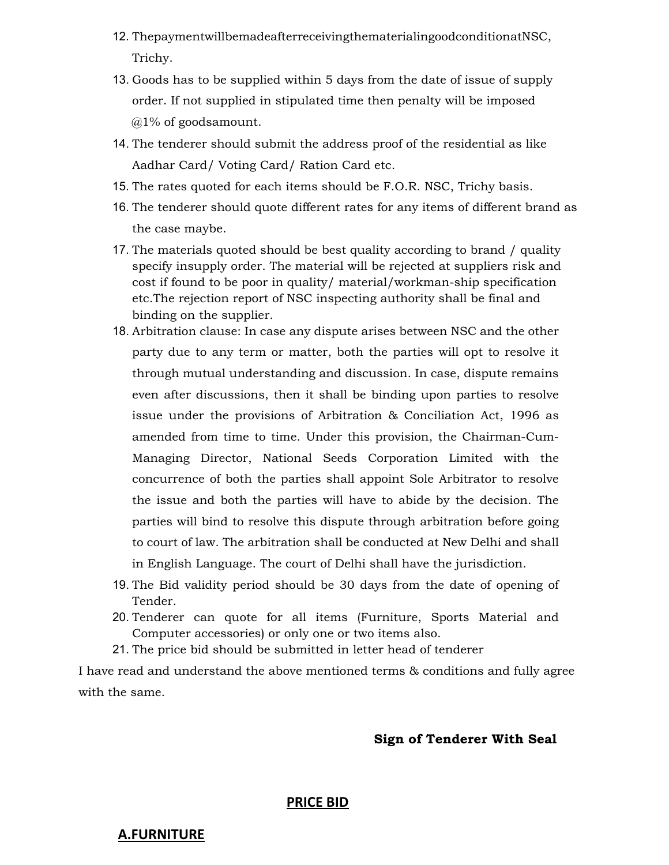- 12. ThepaymentwillbemadeafterreceivingthematerialingoodconditionatNSC, Trichy.
- 13. Goods has to be supplied within 5 days from the date of issue of supply order. If not supplied in stipulated time then penalty will be imposed @1% of goodsamount.
- 14. The tenderer should submit the address proof of the residential as like Aadhar Card/ Voting Card/ Ration Card etc.
- 15. The rates quoted for each items should be F.O.R. NSC, Trichy basis.
- 16. The tenderer should quote different rates for any items of different brand as the case maybe.
- 17. The materials quoted should be best quality according to brand / quality specify insupply order. The material will be rejected at suppliers risk and cost if found to be poor in quality/ material/workman-ship specification etc.The rejection report of NSC inspecting authority shall be final and binding on the supplier.
- 18. Arbitration clause: In case any dispute arises between NSC and the other party due to any term or matter, both the parties will opt to resolve it through mutual understanding and discussion. In case, dispute remains even after discussions, then it shall be binding upon parties to resolve issue under the provisions of Arbitration & Conciliation Act, 1996 as amended from time to time. Under this provision, the Chairman-Cum-Managing Director, National Seeds Corporation Limited with the concurrence of both the parties shall appoint Sole Arbitrator to resolve the issue and both the parties will have to abide by the decision. The parties will bind to resolve this dispute through arbitration before going to court of law. The arbitration shall be conducted at New Delhi and shall in English Language. The court of Delhi shall have the jurisdiction.
- 19. The Bid validity period should be 30 days from the date of opening of Tender.
- 20. Tenderer can quote for all items (Furniture, Sports Material and Computer accessories) or only one or two items also.
- 21. The price bid should be submitted in letter head of tenderer

I have read and understand the above mentioned terms & conditions and fully agree with the same.

### **Sign of Tenderer With Seal**

#### **PRICE BID**

### **A.FURNITURE**